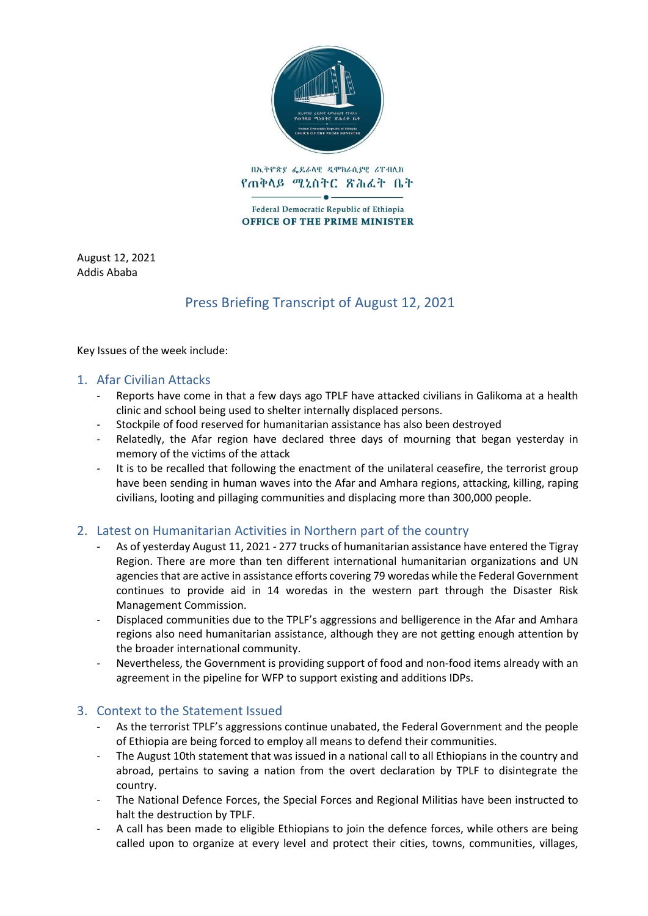

በኢትዮጵያ ፌዴራላዊ ዲሞክራሲያዊ ሪፐብሊክ የጠቅላይ ሚኒስትር ጽሕፈት ቤት

Federal Democratic Republic of Ethiopia **OFFICE OF THE PRIME MINISTER** 

August 12, 2021 Addis Ababa

# Press Briefing Transcript of August 12, 2021

Key Issues of the week include:

#### 1. Afar Civilian Attacks

- Reports have come in that a few days ago TPLF have attacked civilians in Galikoma at a health clinic and school being used to shelter internally displaced persons.
- Stockpile of food reserved for humanitarian assistance has also been destroyed
- Relatedly, the Afar region have declared three days of mourning that began yesterday in memory of the victims of the attack
- It is to be recalled that following the enactment of the unilateral ceasefire, the terrorist group have been sending in human waves into the Afar and Amhara regions, attacking, killing, raping civilians, looting and pillaging communities and displacing more than 300,000 people.

### 2. Latest on Humanitarian Activities in Northern part of the country

- As of yesterday August 11, 2021 277 trucks of humanitarian assistance have entered the Tigray Region. There are more than ten different international humanitarian organizations and UN agencies that are active in assistance efforts covering 79 woredas while the Federal Government continues to provide aid in 14 woredas in the western part through the Disaster Risk Management Commission.
- Displaced communities due to the TPLF's aggressions and belligerence in the Afar and Amhara regions also need humanitarian assistance, although they are not getting enough attention by the broader international community.
- Nevertheless, the Government is providing support of food and non-food items already with an agreement in the pipeline for WFP to support existing and additions IDPs.

### 3. Context to the Statement Issued

- As the terrorist TPLF's aggressions continue unabated, the Federal Government and the people of Ethiopia are being forced to employ all means to defend their communities.
- The August 10th statement that was issued in a national call to all Ethiopians in the country and abroad, pertains to saving a nation from the overt declaration by TPLF to disintegrate the country.
- The National Defence Forces, the Special Forces and Regional Militias have been instructed to halt the destruction by TPLF.
- A call has been made to eligible Ethiopians to join the defence forces, while others are being called upon to organize at every level and protect their cities, towns, communities, villages,